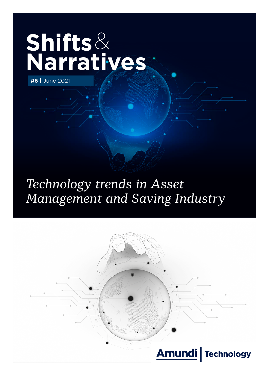# **Shifts**& **Narratives**

**#6** | June 2021

## *Technology trends in Asset Management and Saving Industry*

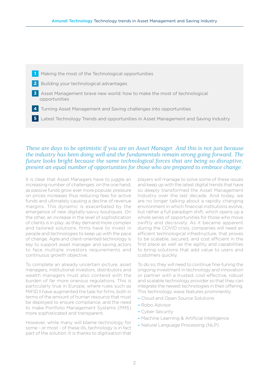- **1** Making the most of the Technological opportunities
- **2** Building your technological advantages
- **3** Asset Management brave new world: how to make the most of technological opportunities
- **4** Turning Asset Management and Saving challenges into opportunities
- **5** Latest Technology Trends and opportunities in Asset Management and Saving Industry

*These are days to be optimistic if you are an Asset Manager. And this is not just because the industry has been doing well and the fundamentals remain strong going forward. The future looks bright because the same technological forces that are being so disruptive, present an equal number of opportunities for those who are prepared to embrace change.*

It is clear that Asset Managers have to juggle an increasing number of challenges: on the one hand, as passive funds grow ever more popular, pressure on prices increases thus reducing fees for active funds and ultimately causing a decline of revenue margins. This dynamic is exacerbated by the emergence of new digitally-savvy boutiques. On the other, an increase in the level of sophistication of clients is in play: as they demand more complex and tailored solutions, firms have to invest in people and technologies to keep up with the pace of change. Agile and client-oriented technology is key to support asset manager and saving actors to face multiple investors requirements and continuous growth objective.

To complete an already uncertain picture, asset managers, institutional investors, distributors and wealth managers must also contend with the burden of far more onerous regulations. This is particularly true in Europe, where rules such as MiFID II have augmented the task for firms, both in terms of the amount of human resource that must be deployed to ensure compliance, and the need to make Portfolio Management Systems (PMS) more sophisticated and transparent.

However, while many will blame technology for some - or most - of these ills, technology is in fact part of the solution. It is thanks to digitisation that

players will manage to solve some of these issues and keep up with the latest digital trends that have so deeply transformed the Asset Management Industry over the last decade. And today, we are no longer talking about a rapidly changing environment in which financial institutions evolve, but rather a full paradigm shift, which opens up a whole series of opportunities for those who move swiftly and decisively. As it became apparent during the COVID crisis, companies will need an efficient technological infrastructure, that proves to be scalable, secured, and cost efficient in the first place as well as the agility and capabilities to bring solutions that add value to users and customers quickly.

To do so, they will need to continue fine-tuning the ongoing investment in technology and innovation or partner with a trusted, cost-effective, robust and scalable technology provider so that they can integrate the newest technologies in their offering. This technology wave features prominently:

- Cloud and Open Source Solutions
- Robo Advisor
- Cyber Security
- Machine Learning & Artificial Intelligence
- Natural Language Processing (NLP)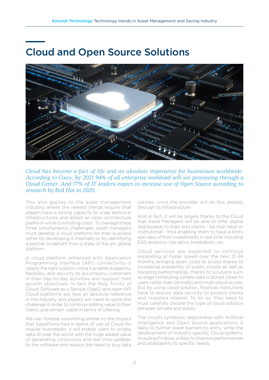### Cloud and Open Source Solutions



#### *Cloud has become a fact of life and an absolute imperative for businesses worldwide. According to Cisco, by 2021 94% of all enterprise workload will see processing through a Cloud Center. And 77% of IT leaders expect to increase use of Open Source according to research by Red Hat in 2020.*

This also applies to the asset management industry, where the newest trends require that players have a strong capacity to scale technical infrastructures and adopt an open architecture platform while controlling costs. To manage these three simultaneous challenges, asset managers must develop a cloud platform for their business either by developing it internally or by identifying a partner to benefit from a state of the art, global platform.

A cloud platform enhanced with Application Programming Interface (API) connectivity is clearly the right solution, since it enables scalability, flexibility, and security to accompany customers in their day-to-day activities and support their growth objectives. In fact the Holy Trinity of Cloud, Software as a Service (SaaS) and open API Cloud platforms are now an absolute reference in the industry and players will need to solve this challenge in order to continue adding value to their clients and remain viable in terms of offering.

We can foresee something similar to the impact that SalesForce had in terms of use of Cloud for regular businesses: it will enable users to access data all over the world with the huge added value of generating continuous and real time updates to the software and reduce the need to buy data

centres, since the provider will do this already through its infrastructure.

And in fact, it will be largely thanks to the Cloud that Asset Managers will be able to offer digital dashboards to their end clients - be that retail or institutional - thus enabling them to have a bird's eye view of their investments in real time including ESG analytics, risk ratios, breakdown, etc.

Cloud services are expected to continue expanding at hyper speed over the next 12-24 months, bringing down costs to access thanks to increasing availability of public clouds as well as boosting performances, thanks to solutions such as edge computing (where data is stored closer to users rather than centrally) and multi-cloud access. But by using cloud solution, financial institutions have to ensure data security to protect clients and investors interest. To do so, they need to must carefully choose the type of cloud solution between private and public.

The cloud's symbiotic relationship with Artificial Intelligence and Open Source applications is likely to further lower barriers to entry, while the development of industry specific Cloud systems, including Finance, is likely to improve performances and adaptability to specific needs.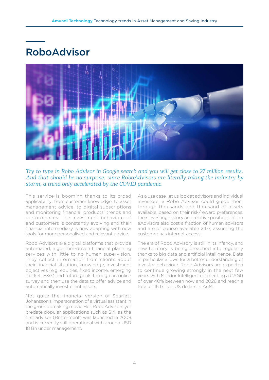### RoboAdvisor



#### *Try to type in Robo Advisor in Google search and you will get close to 27 million results. And that should be no surprise, since RoboAdvisors are literally taking the industry by storm, a trend only accelerated by the COVID pandemic.*

This service is booming thanks to its broad applicability: from customer knowledge, to asset management advice, to digital subscriptions and monitoring financial products' trends and performances. The investment behaviour of end customers is constantly evolving and their financial intermediary is now adapting with new tools for more personalised and relevant advice.

Robo Advisors are digital platforms that provide automated, algorithm-driven financial planning services with little to no human supervision. They collect information from clients about their financial situation, knowledge, investment objectives (e.g. equities, fixed income, emerging market, ESG) and future goals through an online survey and then use the data to offer advice and automatically invest client assets.

Not quite the financial version of Scarlett Johansson's impersonation of a virtual assistant in the groundbreaking movie Her, RoboAdvisors yet predate popular applications such as Siri, as the first advisor (Betterment) was launched in 2008 and is currently still operational with around USD 18 Bn under management.

As a use case, let us look at advisors and individual investors: a Robo Advisor could guide them through thousands and thousand of assets available, based on their risk/reward preferences, their investing history and relative positions. Robo aAdvisors also cost a fraction of human advisors and are of course available 24-7, assuming the customer has internet access.

The era of Robo Advisory is still in its infancy, and new territory is being breached into regularly thanks to big data and artificial intelligence. Data in particular allows for a better understanding of investor behaviour. Robo Advisors are expected to continue growing strongly in the next few years with Mordor Intelligence expecting a CAGR of over 40% between now and 2026 and reach a total of 16 trillion US dollars in AuM.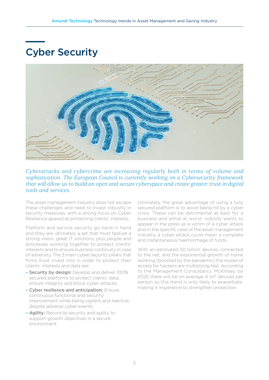### Cyber Security



*Cyberattacks and cybercrime are increasing regularly both in terms of volume and sophistication. The European Council is currently working on a Cybersecurity framework that will allow us to build an open and secure cyberspace and create greater trust in digital tools and services.*

The asset management industry does not escape these challenges and need to invest robustly in security measures, with a strong focus on Cyber Resilience geared at protecting clients' interests.

Platform and service security go hand in hand and they are ultimately a set that must feature a strong vision, great IT solutions, plus people and processes working together to protect clients' interests and to ensure business continuity in case of adversity. The 3 main cyber security pillars that firms must invest into in order to protect their clients' interests and data are:

- Security by design: Develop and deliver 100% secured platforms to protect clients' data, ensure integrity and block cyber-attacks;
- Cyber resilience and anticipation: Ensure continuous functional and security improvement while being vigilant and reactive, despite adverse cyber events;
- Agility: Reconcile security and agility to support growth objectives in a secure environment.

Ultimately, the great advantage of using a fully secured platform is to avoid being hit by a cyber crisis. These can be detrimental at best for a business and lethal at worst: nobody wants to appear in the press as a victim of a cyber attack and in the specific case of the asset management industry, a cyber attack could mean a complete and instantaneous haemorrhage of funds.

With an estimated 50 billion devices connected to the net, and the exponential growth of home working (boosted by the pandemic) the routes of access for hackers are multiplying fast. According to the Management Consultancy McKinsey, by 2025 there will be on average 4 IoT devices per person so this trend is only likely to exacerbate, making it imperative to strengthen protection.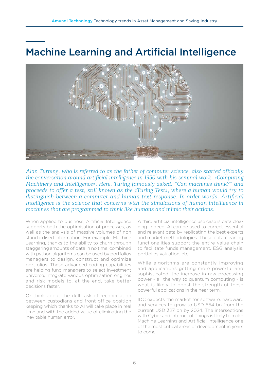### Machine Learning and Artificial Intelligence



*Alan Turning, who is referred to as the father of computer science, also started officially the conversation around artificial intelligence in 1950 with his seminal work, «Computing Machinery and Intelligence». Here, Turing famously asked: "Can machines think?" and proceeds to offer a test, still known as the «Turing Test», where a human would try to distinguish between a computer and human text response. In order words, Artificial*  Intelligence is the science that concerns with the simulations of human intelligence in *machines that are programmed to think like humans and mimic their actions.*

When applied to business, Artificial Intelligence supports both the optimisation of processes, as well as the analysis of massive volumes of non standardised information. For example, Machine Learning, thanks to the ability to churn through staggering amounts of data in no time, combined with python algorithms can be used by portfolios managers to design, construct and optimize portfolios. These advanced coding capabilities are helping fund managers to select investment universe, integrate various optimisation engines and risk models to, at the end, take better decisions faster.

Or think about the dull task of reconciliation between custodians and front office position keeping which thanks to AI will take place in real time and with the added value of eliminating the inevitable human error.

A third artificial intelligence use case is data cleaning. Indeed, AI can be used to correct essential and relevant data by replicating the best experts and market methodologies. These data cleaning functionalities support the entire value chain to facilitate funds management, ESG analysis, portfolios valuation, etc.

While algorithms are constantly improving and applications getting more powerful and sophisticated, the increase in raw processing power - all the way to quantum computing - is what is likely to boost the strength of these powerful applications in the near term.

IDC expects the market for software, hardware and services to grow to USD 554 bn from the current USD 327 bn by 2024. The intersections with Cyber and Internet of Things is likely to make Machine Learning and Artificial Intelligence one of the most critical areas of development in years to come.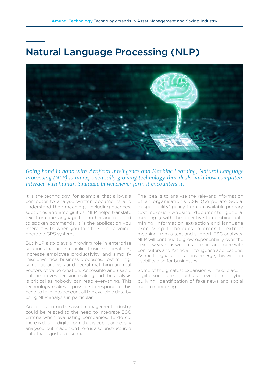### Natural Language Processing (NLP)



#### *Going hand in hand with Artificial Intelligence and Machine Learning, Natural Language Processing (NLP) is an exponentially growing technology that deals with how computers interact with human language in whichever form it encounters it.*

It is the technology, for example, that allows a computer to analyse written documents and understand their meanings, including nuances, subtleties and ambiguities. NLP helps translate text from one language to another and respond to spoken commands. It is the application you interact with when you talk to Siri or a voiceoperated GPS systems.

But NLP also plays a growing role in enterprise solutions that help streamline business operations, increase employee productivity, and simplify mission-critical business processes. Text mining, semantic analysis and neural matching are real vectors of value creation. Accessible and usable data improves decision making and the analysis is critical as nobody can read everything. This technology makes it possible to respond to this need to take into account all the available data by using NLP analysis in particular.

An application in the asset management industry could be related to the need to integrate ESG criteria when evaluating companies. To do so, there is data in digital form that is public and easily analysed, but in addition there is also unstructured data that is just as essential.

The idea is to analyse the relevant information of an organisation's CSR (Corporate Social Responsibility) policy from an available primary text corpus (website, documents, general meeting…) with the objective to combine data mining, information extraction and language processing techniques in order to extract meaning from a text and support ESG analysts. NLP will continue to grow exponentially over the next few years as we interact more and more with computers and Artificial Intelligence applications. As multilingual applications emerge, this will add usability also for businesses.

Some of the greatest expansion will take place in digital social areas, such as prevention of cyber bullying, identification of fake news and social media monitoring.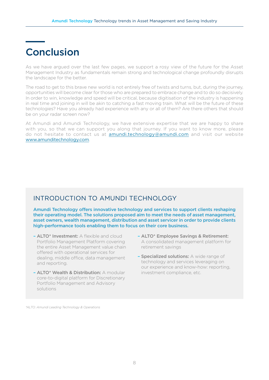#### Conclusion

As we have argued over the last few pages, we support a rosy view of the future for the Asset Management Industry as fundamentals remain strong and technological change profoundly disrupts the landscape for the better.

The road to get to this brave new world is not entirely free of twists and turns, but, during the journey, opportunities will become clear for those who are prepared to embrace change and to do so decisively. In order to win, knowledge and speed will be critical, because digitisation of the industry is happening in real time and joining in will be akin to catching a fast moving train. What will be the future of these technologies? Have you already had experience with any or all of them? Are there others that should be on your radar screen now?

At Amundi and Amundi Technology, we have extensive expertise that we are happy to share with you, so that we can support you along that journey. If you want to know more, please do not hesitate to contact us at **amundi.technology@amundi.com** and visit our website www.amunditechnology.com.

#### INTRODUCTION TO AMUNDI TECHNOLOGY

Amundi Technology offers innovative technology and services to support clients reshaping their operating model. The solutions proposed aim to meet the needs of asset management, asset owners, wealth management, distribution and asset servicer in order to provide clients high-performance tools enabling them to focus on their core business.

- ALTO\* Investment: A flexible and cloud Portfolio Management Platform covering the entire Asset Management value chain offered with operational services for dealing, middle office, data management and reporting.
- ALTO\* Wealth & Distribution: A modular core-to-digital platform for Discretionary Portfolio Management and Advisory solutions
- ALTO\* Employee Savings & Retirement: A consolidated management platform for retirement savings
- Specialized solutions: A wide range of technology and services leveraging on our experience and know-how: reporting, investment compliance, etc.

*\*ALTO: Amundi Leading Technology & Operations*